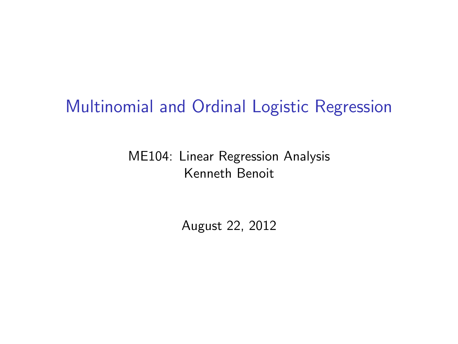### Multinomial and Ordinal Logistic Regression

#### ME104: Linear Regression Analysis Kenneth Benoit

August 22, 2012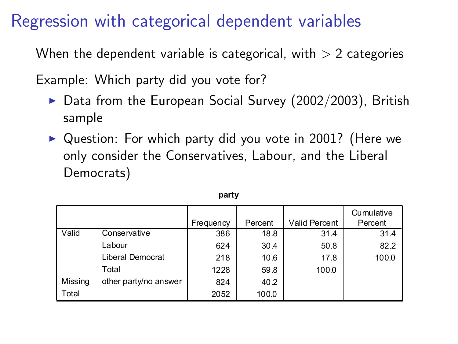#### Regression with categorical dependent variables

When the dependent variable is categorical, with  $> 2$  categories

Example: Which party did you vote for?

- $\triangleright$  Data from the European Social Survey (2002/2003), British sample
- $\triangleright$  Question: For which party did you vote in 2001? (Here we only consider the Conservatives, Labour, and the Liberal Democrats)

|              |                       |           |         |               | Cumulative |
|--------------|-----------------------|-----------|---------|---------------|------------|
|              |                       | Frequency | Percent | Valid Percent | Percent    |
| <b>Valid</b> | Conservative          | 386       | 18.8    | 31.4          | 31.4       |
|              | Labour                | 624       | 30.4    | 50.8          | 82.2       |
|              | Liberal Democrat      | 218       | 10.6    | 17.8          | 100.0      |
|              | Total                 | 1228      | 59.8    | 100.0         |            |
| Missing      | other party/no answer | 824       | 40.2    |               |            |
| l Total      |                       | 2052      | 100.0   |               |            |

#### **party**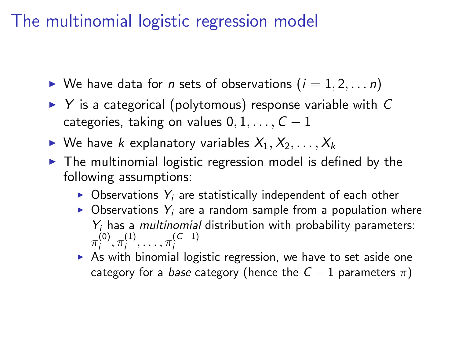### The multinomial logistic regression model

- $\triangleright$  We have data for *n* sets of observations  $(i = 1, 2, \ldots n)$
- $\triangleright$  Y is a categorical (polytomous) response variable with C categories, taking on values  $0, 1, \ldots, C - 1$
- $\triangleright$  We have k explanatory variables  $X_1, X_2, \ldots, X_k$
- $\triangleright$  The multinomial logistic regression model is defined by the following assumptions:
	- $\triangleright$  Observations  $Y_i$  are statistically independent of each other
	- $\triangleright$  Observations  $Y_i$  are a random sample from a population where  $Y_i$  has a *multinomial* distribution with probability parameters:  $\pi_i^{(0)}$  $\mathcal{L}^{(0)}_i, \pi^{(1)}_i$  $\pi_i^{(1)}, \ldots, \pi_i^{(C-1)}$ i
	- $\triangleright$  As with binomial logistic regression, we have to set aside one category for a *base* category (hence the  $C - 1$  parameters  $\pi$ )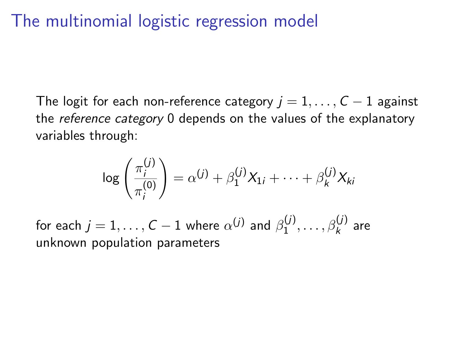## The multinomial logistic regression model

The logit for each non-reference category  $j = 1, ..., C - 1$  against the *reference category* 0 depends on the values of the explanatory variables through:

$$
\log\left(\frac{\pi_i^{(j)}}{\pi_i^{(0)}}\right) = \alpha^{(j)} + \beta_1^{(j)}X_{1i} + \cdots + \beta_k^{(j)}X_{ki}
$$

for each  $j=1,\ldots,\mathcal{C}-1$  where  $\alpha^{(j)}$  and  $\beta^{(j)}_1$  $\frac{\beta_1^{(j)},\ldots,\beta_k^{(j)}}{1}$  are unknown population parameters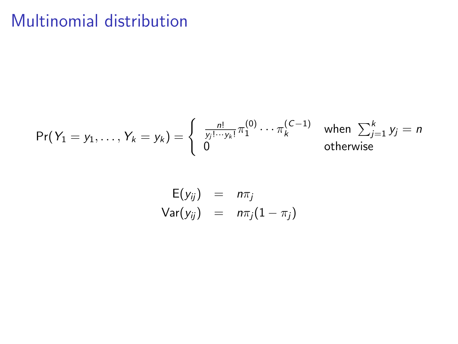## Multinomial distribution

$$
\Pr(Y_1 = y_1, \ldots, Y_k = y_k) = \begin{cases} \frac{n!}{y_j! \cdots y_k!} \pi_1^{(0)} \cdots \pi_k^{(\mathcal{C}-1)} & \text{when } \sum_{j=1}^k y_j = n \\ 0 & \text{otherwise} \end{cases}
$$

$$
E(y_{ij}) = n\pi_j
$$
  
Var(y\_{ij}) =  $n\pi_j(1 - \pi_j)$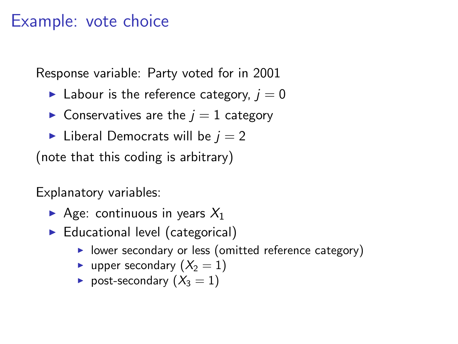#### Example: vote choice

Response variable: Party voted for in 2001

- labour is the reference category,  $i = 0$
- $\triangleright$  Conservatives are the  $j = 1$  category
- lacktriangleright Liberal Democrats will be  $i = 2$

(note that this coding is arbitrary)

Explanatory variables:

- Age: continuous in years  $X_1$
- $\blacktriangleright$  Educational level (categorical)
	- $\triangleright$  lower secondary or less (omitted reference category)
	- upper secondary  $(X_2 = 1)$
	- post-secondary  $(X_3 = 1)$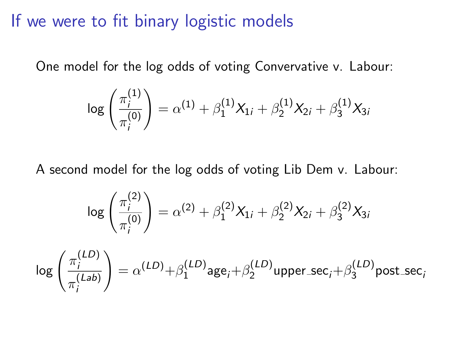If we were to fit binary logistic models

One model for the log odds of voting Convervative v. Labour:

$$
\log\left(\frac{\pi_i^{(1)}}{\pi_i^{(0)}}\right) = \alpha^{(1)} + \beta_1^{(1)}X_{1i} + \beta_2^{(1)}X_{2i} + \beta_3^{(1)}X_{3i}
$$

A second model for the log odds of voting Lib Dem v. Labour:

$$
\log\left(\frac{\pi_i^{(2)}}{\pi_i^{(0)}}\right) = \alpha^{(2)} + \beta_1^{(2)}X_{1i} + \beta_2^{(2)}X_{2i} + \beta_3^{(2)}X_{3i}
$$

$$
\log\left(\frac{\pi_i^{(LD)}}{\pi_i^{(Lab)}}\right) = \alpha^{(LD)} + \beta_1^{(LD)} \text{age}_i + \beta_2^{(LD)} \text{upper\_sec}_i + \beta_3^{(LD)} \text{post\_sec}_i
$$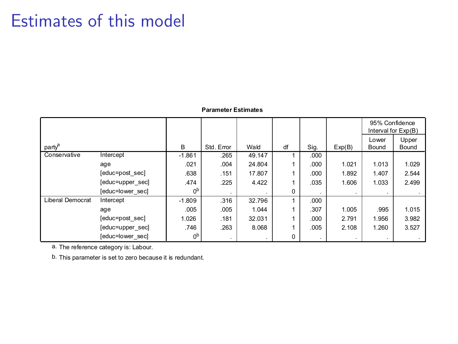#### Estimates of this model

#### **Parameter Estimates**

|                    |                  |                |            |        |    |                |        | 95% Confidence | Interval for Exp(B) |
|--------------------|------------------|----------------|------------|--------|----|----------------|--------|----------------|---------------------|
|                    |                  |                |            |        |    |                |        | Lower          | Upper               |
| party <sup>a</sup> |                  | B.             | Std. Error | Wald   | df | Sig.           | Exp(B) | Bound          | Bound               |
| Conservative       | Intercept        | $-1.861$       | .265       | 49.147 |    | .000           |        |                |                     |
|                    | age              | .021           | .004       | 24.804 |    | .000           | 1.021  | 1.013          | 1.029               |
|                    | [educ=post sec]  | .638           | .151       | 17,807 |    | .000           | 1.892  | 1.407          | 2.544               |
|                    | [educ=upper sec] | .474           | .225       | 4.422  |    | .035           | 1.606  | 1.033          | 2.499               |
|                    | [educ=lower sec] | 0 <sub>p</sub> |            |        | 0  | $\cdot$        |        |                |                     |
| Liberal Democrat   | Intercept        | $-1.809$       | .316       | 32.796 |    | .000           |        |                |                     |
|                    | age              | .005           | .005       | 1.044  |    | .307           | 1.005  | .995           | 1.015               |
|                    | [educ=post sec]  | 1.026          | .181       | 32.031 |    | .000           | 2.791  | 1.956          | 3.982               |
|                    | [educ=upper sec] | .746           | .263       | 8.068  |    | .005           | 2.108  | 1.260          | 3.527               |
|                    | [educ=lower sec] | 0 <sup>b</sup> |            |        | 0  | $\blacksquare$ |        |                |                     |

a. The reference category is: Labour.

b. This parameter is set to zero because it is redundant.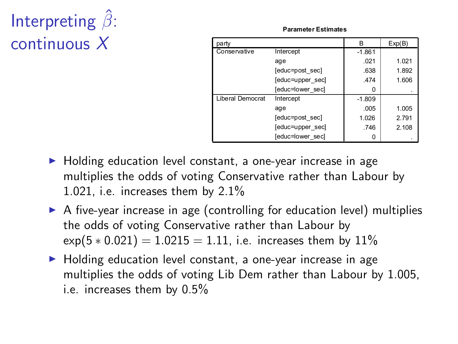# Interpreting  $\hat{\beta}$ : continuous X

**Parameter Estimates**

| party                   |                  | R        | Exp(B) |
|-------------------------|------------------|----------|--------|
| Conservative            | Intercept        | $-1.861$ |        |
|                         | age              | .021     | 1.021  |
|                         | [educ=post sec]  | .638     | 1.892  |
|                         | [educ=upper sec] | .474     | 1.606  |
|                         | [educ=lower sec] |          |        |
| <b>Liberal Democrat</b> | Intercept        | $-1.809$ |        |
|                         | age              | .005     | 1.005  |
|                         | [educ=post sec]  | 1.026    | 2.791  |
|                         | [educ=upper sec] | .746     | 2.108  |
|                         | [educ=lower sec] |          |        |

- $\blacktriangleright$  Holding education level constant, a one-year increase in age multiplies the odds of voting Conservative rather than Labour by 1.021, i.e. increases them by 2.1%
- $\triangleright$  A five-year increase in age (controlling for education level) multiplies the odds of voting Conservative rather than Labour by  $\exp(5 * 0.021) = 1.0215 = 1.11$ , i.e. increases them by 11%
- ▶ Holding education level constant, a one-year increase in age multiplies the odds of voting Lib Dem rather than Labour by 1.005, i.e. increases them by 0.5%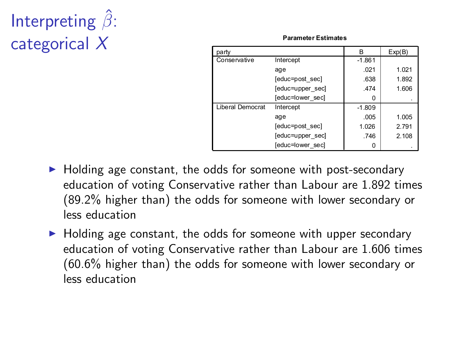# Interpreting  $\hat{\beta}$ : categorical X

**Parameter Estimates**

| party                   |                  | R        | Exp(B) |
|-------------------------|------------------|----------|--------|
| Conservative            | Intercept        | $-1.861$ |        |
|                         | age              | .021     | 1.021  |
|                         | [educ=post sec]  | .638     | 1.892  |
|                         | [educ=upper sec] | .474     | 1.606  |
|                         | [educ=lower sec] |          |        |
| <b>Liberal Democrat</b> | Intercept        | $-1.809$ |        |
|                         | age              | .005     | 1.005  |
|                         | [educ=post sec]  | 1.026    | 2.791  |
|                         | [educ=upper sec] | .746     | 2.108  |
|                         | [educ=lower sec] |          |        |

- $\blacktriangleright$  Holding age constant, the odds for someone with post-secondary education of voting Conservative rather than Labour are 1.892 times (89.2% higher than) the odds for someone with lower secondary or less education
- $\blacktriangleright$  Holding age constant, the odds for someone with upper secondary education of voting Conservative rather than Labour are 1.606 times (60.6% higher than) the odds for someone with lower secondary or less education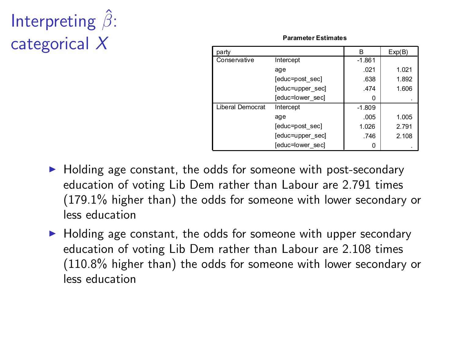# Interpreting  $\hat{\beta}$ : categorical X

**Parameter Estimates**

| party                   |                  | R        | Exp(B) |
|-------------------------|------------------|----------|--------|
| Conservative            | Intercept        | $-1.861$ |        |
|                         | age              | .021     | 1.021  |
|                         | [educ=post sec]  | .638     | 1.892  |
|                         | [educ=upper sec] | .474     | 1.606  |
|                         | [educ=lower sec] | o        |        |
| <b>Liberal Democrat</b> | Intercept        | $-1.809$ |        |
|                         | age              | .005     | 1.005  |
|                         | [educ=post sec]  | 1.026    | 2.791  |
|                         | [educ=upper sec] | .746     | 2.108  |
|                         | [educ=lower sec] |          |        |

- $\blacktriangleright$  Holding age constant, the odds for someone with post-secondary education of voting Lib Dem rather than Labour are 2.791 times (179.1% higher than) the odds for someone with lower secondary or less education
- $\blacktriangleright$  Holding age constant, the odds for someone with upper secondary education of voting Lib Dem rather than Labour are 2.108 times (110.8% higher than) the odds for someone with lower secondary or less education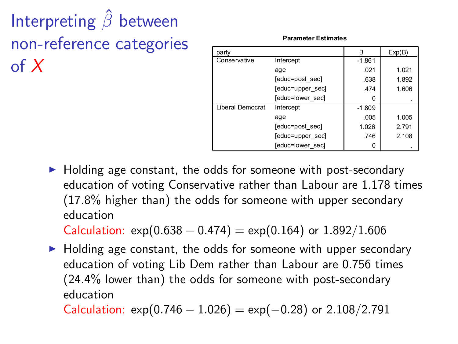Interpreting  $\hat{\beta}$  between non-reference categories of  $X$ 

| party                   |                  | в        | Exp(B) |
|-------------------------|------------------|----------|--------|
| Conservative            | Intercept        | $-1.861$ |        |
|                         | age              | .021     | 1.021  |
|                         | [educ=post sec]  | .638     | 1.892  |
|                         | [educ=upper sec] | .474     | 1.606  |
|                         | [educ=lower sec] | Ω        |        |
| <b>Liberal Democrat</b> | Intercept        | $-1.809$ |        |
|                         | age              | .005     | 1.005  |
|                         | [educ=post sec]  | 1.026    | 2.791  |
|                         | [educ=upper sec] | .746     | 2.108  |
|                         | [educ=lower sec] | 0        |        |

**Parameter Estimates**

 $\blacktriangleright$  Holding age constant, the odds for someone with post-secondary education of voting Conservative rather than Labour are 1.178 times (17.8% higher than) the odds for someone with upper secondary education

Calculation:  $exp(0.638 - 0.474) = exp(0.164)$  or  $1.892/1.606$ 

 $\blacktriangleright$  Holding age constant, the odds for someone with upper secondary education of voting Lib Dem rather than Labour are 0.756 times (24.4% lower than) the odds for someone with post-secondary education

Calculation:  $exp(0.746 - 1.026) = exp(-0.28)$  or 2.108/2.791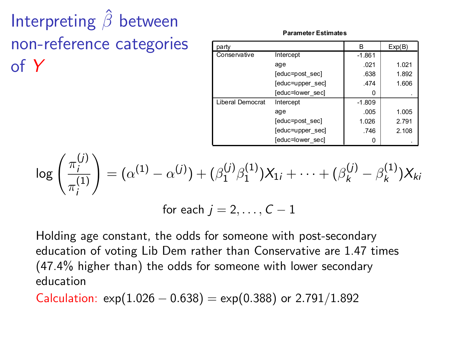Interpreting  $\hat{\beta}$  between non-reference categories of Y

**Parameter Estimates**

| party                   |                  | B        | Exp(B) |
|-------------------------|------------------|----------|--------|
| Conservative            | Intercept        | $-1.861$ |        |
|                         | age              | .021     | 1.021  |
|                         | [educ=post sec]  | .638     | 1.892  |
|                         | [educ=upper sec] | .474     | 1.606  |
|                         | [educ=lower sec] | n        |        |
| <b>Liberal Democrat</b> | Intercept        | $-1.809$ |        |
|                         | age              | .005     | 1.005  |
|                         | [educ=post sec]  | 1.026    | 2.791  |
|                         | [educ=upper sec] | .746     | 2.108  |
|                         | [educ=lower sec] |          |        |

$$
\log\left(\frac{\pi_i^{(j)}}{\pi_i^{(1)}}\right) = (\alpha^{(1)} - \alpha^{(j)}) + (\beta_1^{(j)}\beta_1^{(1)})X_{1i} + \cdots + (\beta_k^{(j)} - \beta_k^{(1)})X_{ki}
$$

for each  $j = 2, \ldots, C - 1$ 

Holding age constant, the odds for someone with post-secondary education of voting Lib Dem rather than Conservative are 1.47 times (47.4% higher than) the odds for someone with lower secondary education

Calculation:  $exp(1.026 - 0.638) = exp(0.388)$  or 2.791/1.892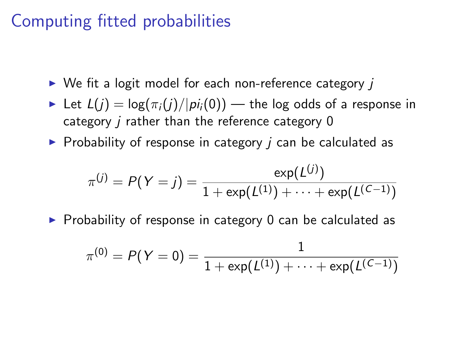#### Computing fitted probabilities

- $\triangleright$  We fit a logit model for each non-reference category *i*
- Execution Let  $L(i) = \log(\pi_i(i)/|\pi_i(0))$  the log odds of a response in category  *rather than the reference category 0*
- $\triangleright$  Probability of response in category *j* can be calculated as

$$
\pi^{(j)} = P(Y = j) = \frac{\exp(L^{(j)})}{1 + \exp(L^{(1)}) + \cdots + \exp(L^{(C-1)})}
$$

 $\triangleright$  Probability of response in category 0 can be calculated as

$$
\pi^{(0)} = P(Y=0) = \frac{1}{1+\exp(L^{(1)})+\cdots+\exp(L^{(C-1)})}
$$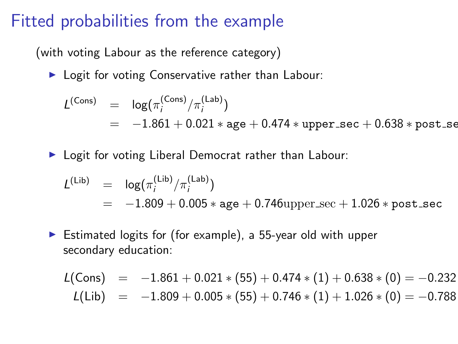#### Fitted probabilities from the example

(with voting Labour as the reference category)

 $\blacktriangleright$  Logit for voting Conservative rather than Labour:

$$
L^{(\text{Cons})} = \log(\pi_i^{(\text{Cons})}/\pi_i^{(\text{Lab})})
$$
  
= -1.861 + 0.021 \* age + 0.474 \* upper/sec + 0.638 \* post\_se

▶ Logit for voting Liberal Democrat rather than Labour:

$$
L^{(\text{Lib})} = \log(\pi_i^{(\text{Lib})}/\pi_i^{(\text{Lab})})
$$
  
= -1.809 + 0.005 \* age + 0.746upper/sec + 1.026 \* post/sec

 $\triangleright$  Estimated logits for (for example), a 55-year old with upper secondary education:

$$
L(Cons) = -1.861 + 0.021 * (55) + 0.474 * (1) + 0.638 * (0) = -0.232
$$
  
\n
$$
L(Lib) = -1.809 + 0.005 * (55) + 0.746 * (1) + 1.026 * (0) = -0.788
$$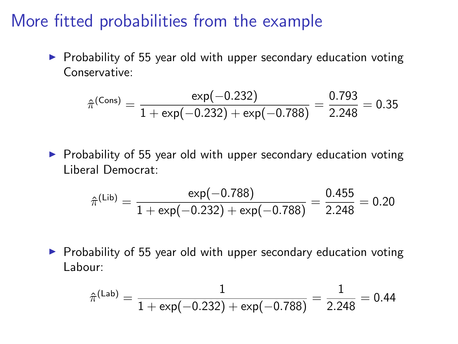#### More fitted probabilities from the example

 $\triangleright$  Probability of 55 year old with upper secondary education voting Conservative:

$$
\hat{\pi}^{\text{(Cons)}} = \frac{\exp(-0.232)}{1 + \exp(-0.232) + \exp(-0.788)} = \frac{0.793}{2.248} = 0.35
$$

 $\triangleright$  Probability of 55 year old with upper secondary education voting Liberal Democrat:

$$
\hat{\pi}^{(\text{Lib})} = \frac{\exp(-0.788)}{1 + \exp(-0.232) + \exp(-0.788)} = \frac{0.455}{2.248} = 0.20
$$

 $\triangleright$  Probability of 55 year old with upper secondary education voting Labour:

$$
\hat{\pi}^{\text{(Lab)}} = \frac{1}{1+\text{exp}(-0.232)+\text{exp}(-0.788)} = \frac{1}{2.248} = 0.44
$$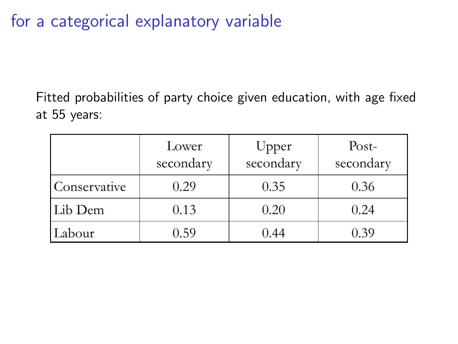for a categorical explanatory variable

Fitted probabilities of party choice given education, with age fixed at 55 years:

|              | Lower<br>secondary | Upper<br>secondary | Post-<br>secondary |
|--------------|--------------------|--------------------|--------------------|
| Conservative | 0.29               | 0.35               | 0.36               |
| Lib Dem      | 0.13               | 0.20               | 0.24               |
| Labour       | 0.59               | 0.44               | 0.39               |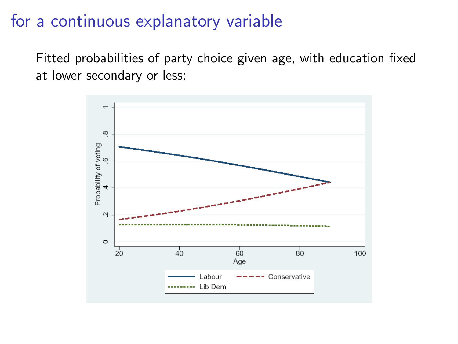#### for a continuous explanatory variable

Fitted probabilities of party choice given age, with education fixed at lower secondary or less:

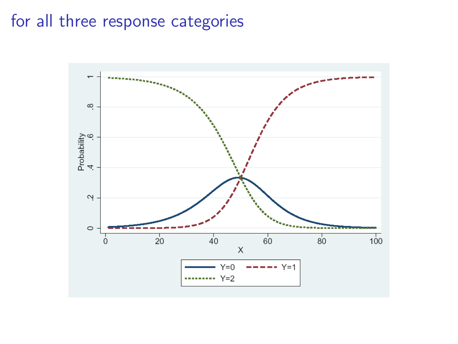#### for all three response categories

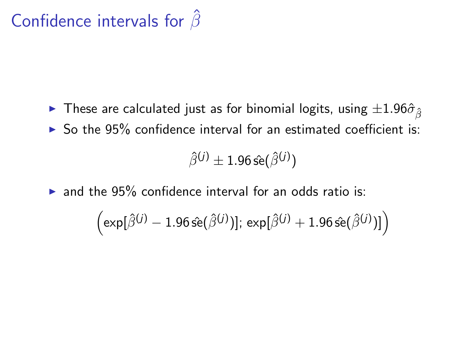## Confidence intervals for  $\hat{\beta}$

- $\blacktriangleright$  These are calculated just as for binomial logits, using  $\pm 1.96\hat{\sigma}_{\hat{\beta}}$
- $\triangleright$  So the 95% confidence interval for an estimated coefficient is:

$$
\hat{\beta}^{(j)} \pm 1.96 \, \hat{\rm se}(\hat{\beta}^{(j)})
$$

 $\triangleright$  and the 95% confidence interval for an odds ratio is:

$$
\left(\exp[\hat{\beta}^{(j)}-1.96\,\hat{\rm se}(\hat{\beta}^{(j)})];\,\exp[\hat{\beta}^{(j)}+1.96\,\hat{\rm se}(\hat{\beta}^{(j)})]\right)
$$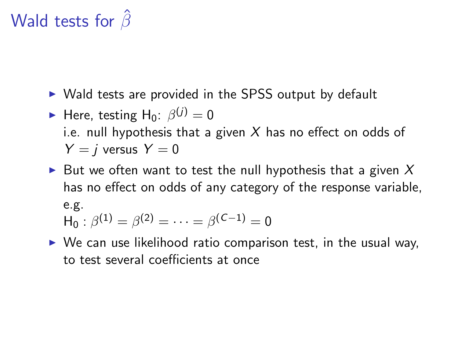## Wald tests for  $\hat{\beta}$

- $\triangleright$  Wald tests are provided in the SPSS output by default
- **I** Here, testing  $H_0$ :  $\beta^{(j)} = 0$ i.e. null hypothesis that a given X has no effect on odds of  $Y = i$  versus  $Y = 0$
- I But we often want to test the null hypothesis that a given  $X$ has no effect on odds of any category of the response variable, e.g.  $H_0: \beta^{(1)} = \beta^{(2)} = \cdots = \beta^{(C-1)} = 0$
- $\triangleright$  We can use likelihood ratio comparison test, in the usual way, to test several coefficients at once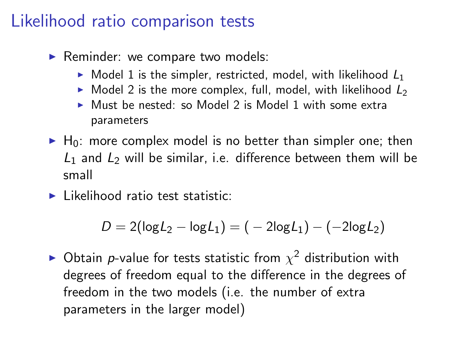#### Likelihood ratio comparison tests

- $\blacktriangleright$  Reminder: we compare two models:
	- $\triangleright$  Model 1 is the simpler, restricted, model, with likelihood  $L_1$
	- $\triangleright$  Model 2 is the more complex, full, model, with likelihood  $L_2$
	- $\triangleright$  Must be nested: so Model 2 is Model 1 with some extra parameters
- $\blacktriangleright$  H<sub>0</sub>: more complex model is no better than simpler one; then  $L_1$  and  $L_2$  will be similar, i.e. difference between them will be small
- $\blacktriangleright$  Likelihood ratio test statistic:

$$
D = 2(\log L_2 - \log L_1) = (-2\log L_1) - (-2\log L_2)
$$

 $\blacktriangleright$  Obtain p-value for tests statistic from  $\chi^2$  distribution with degrees of freedom equal to the difference in the degrees of freedom in the two models (i.e. the number of extra parameters in the larger model)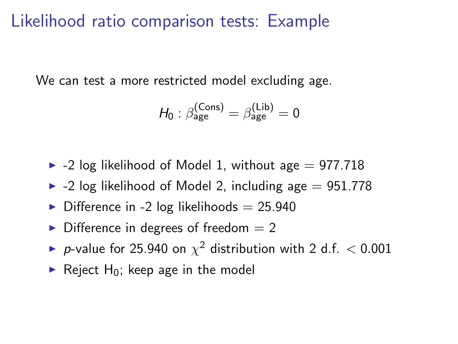#### Likelihood ratio comparison tests: Example

We can test a more restricted model excluding age.

$$
H_0: \beta_{\text{age}}^{(\text{Cons})} = \beta_{\text{age}}^{(\text{Lib})} = 0
$$

 $\blacktriangleright$  -2 log likelihood of Model 1, without age  $= 977.718$ 

- $\blacktriangleright$  -2 log likelihood of Model 2, including age  $= 951.778$
- $\triangleright$  Difference in -2 log likelihoods = 25.940
- $\triangleright$  Difference in degrees of freedom  $= 2$
- P-value for 25.940 on  $\chi^2$  distribution with 2 d.f.  $<$  0.001
- Reject  $H_0$ ; keep age in the model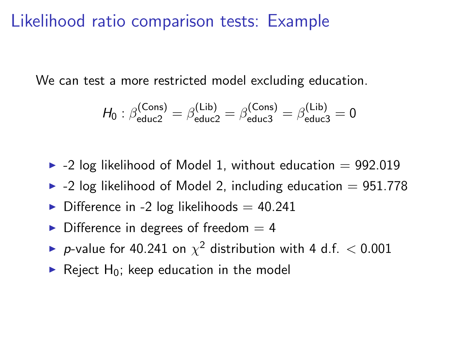#### Likelihood ratio comparison tests: Example

We can test a more restricted model excluding education.

$$
H_0: \beta_{\text{educ2}}^{(\text{Cons})} = \beta_{\text{educ2}}^{(\text{Lib})} = \beta_{\text{educ3}}^{(\text{Cons})} = \beta_{\text{educ3}}^{(\text{Lib})} = 0
$$

- $\blacktriangleright$  -2 log likelihood of Model 1, without education = 992.019
- $\blacktriangleright$  -2 log likelihood of Model 2, including education = 951.778
- $\triangleright$  Difference in -2 log likelihoods = 40.241
- $\triangleright$  Difference in degrees of freedom  $=$  4
- ► p-value for 40.241 on  $\chi^2$  distribution with 4 d.f.  $<$  0.001
- Reject H<sub>0</sub>; keep education in the model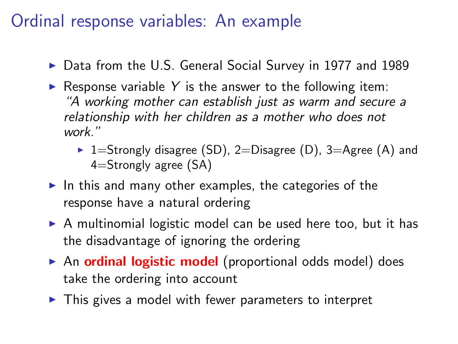#### Ordinal response variables: An example

- ▶ Data from the U.S. General Social Survey in 1977 and 1989
- Response variable Y is the answer to the following item: "A working mother can establish just as warm and secure a relationship with her children as a mother who does not work."
	- $\blacktriangleright$  1=Strongly disagree (SD), 2=Disagree (D), 3=Agree (A) and 4=Strongly agree (SA)
- In this and many other examples, the categories of the response have a natural ordering
- $\triangleright$  A multinomial logistic model can be used here too, but it has the disadvantage of ignoring the ordering
- $\triangleright$  An ordinal logistic model (proportional odds model) does take the ordering into account
- $\triangleright$  This gives a model with fewer parameters to interpret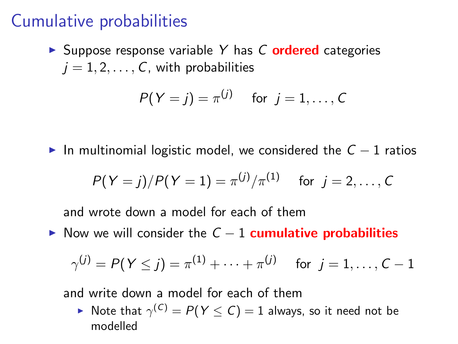#### Cumulative probabilities

 $\triangleright$  Suppose response variable Y has C **ordered** categories  $j = 1, 2, \ldots, C$ , with probabilities

$$
P(Y = j) = \pi^{(j)} \quad \text{for } j = 1, \ldots, C
$$

In multinomial logistic model, we considered the  $C - 1$  ratios

$$
P(Y = j)/P(Y = 1) = \pi^{(j)}/\pi^{(1)}
$$
 for  $j = 2, ..., C$ 

and wrote down a model for each of them

Now we will consider the  $C - 1$  cumulative probabilities

$$
\gamma^{(j)}=P(\text{Y}\leq j)=\pi^{(1)}+\cdots+\pi^{(j)}\quad \ \text{for}\;\;j=1,\ldots,\text{C}-1
$$

and write down a model for each of them

 $\blacktriangleright$  Note that  $\gamma^{(\mathcal{C})} = P(Y \leq \mathcal{C}) = 1$  always, so it need not be modelled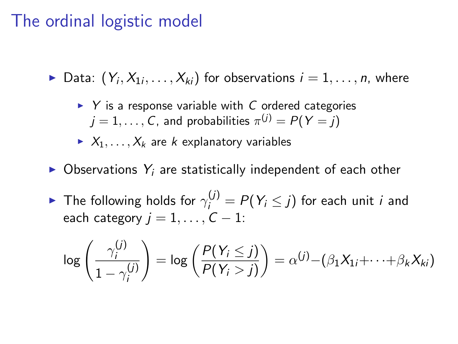#### The ordinal logistic model

 $\blacktriangleright$  Data:  $(Y_i, X_{1i}, \ldots, X_{ki})$  for observations  $i = 1, \ldots, n$ , where

 $\triangleright$  Y is a response variable with C ordered categories  $j=1,\ldots,C$ , and probabilities  $\pi^{(j)}=P(\,Y=j)$ 

- $X_1, \ldots, X_k$  are k explanatory variables
- $\triangleright$  Observations  $Y_i$  are statistically independent of each other
- $\blacktriangleright$  The following holds for  $\gamma_i^{(j)} = P(Y_i \leq j)$  for each unit  $i$  and each category  $j = 1, \ldots, C - 1$ :

$$
\log\left(\frac{\gamma_i^{(j)}}{1-\gamma_i^{(j)}}\right)=\log\left(\frac{P(Y_i\leq j)}{P(Y_i>j)}\right)=\alpha^{(j)}-(\beta_1X_{1i}+\cdots+\beta_kX_{ki})
$$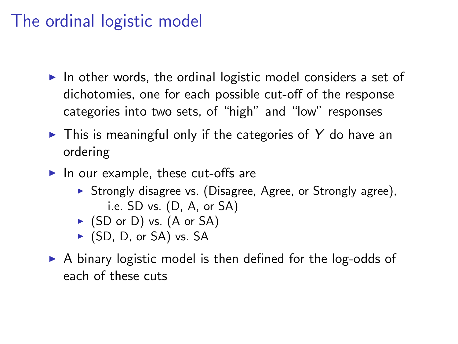### The ordinal logistic model

- $\triangleright$  In other words, the ordinal logistic model considers a set of dichotomies, one for each possible cut-off of the response categories into two sets, of "high" and "low" responses
- $\triangleright$  This is meaningful only if the categories of Y do have an ordering
- $\blacktriangleright$  In our example, these cut-offs are
	- $\triangleright$  Strongly disagree vs. (Disagree, Agree, or Strongly agree), i.e. SD vs. (D, A, or SA)
	- $\triangleright$  (SD or D) vs. (A or SA)
	- $\triangleright$  (SD, D, or SA) vs. SA
- $\triangleright$  A binary logistic model is then defined for the log-odds of each of these cuts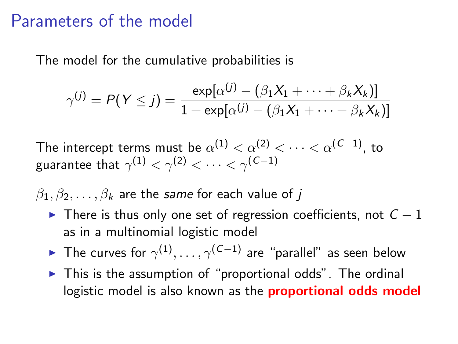#### Parameters of the model

The model for the cumulative probabilities is

$$
\gamma^{(j)} = P(Y \leq j) = \frac{\exp[\alpha^{(j)} - (\beta_1 X_1 + \dots + \beta_k X_k)]}{1 + \exp[\alpha^{(j)} - (\beta_1 X_1 + \dots + \beta_k X_k)]}
$$

The intercept terms must be  $\alpha^{(1)}<\alpha^{(2)}<\cdots<\alpha^{(\mathcal{C}-1)},$  to guarantee that  $\gamma^{(1)}<\gamma^{(2)}<\cdots<\gamma^{(\mathcal{C}-1)}$ 

 $\beta_1, \beta_2, \ldots, \beta_k$  are the same for each value of j

- $\triangleright$  There is thus only one set of regression coefficients, not  $C 1$ as in a multinomial logistic model
- ► The curves for  $\gamma^{(1)}, \ldots, \gamma^{(\mathcal{C}-1)}$  are "parallel" as seen below
- $\triangleright$  This is the assumption of "proportional odds". The ordinal logistic model is also known as the **proportional odds model**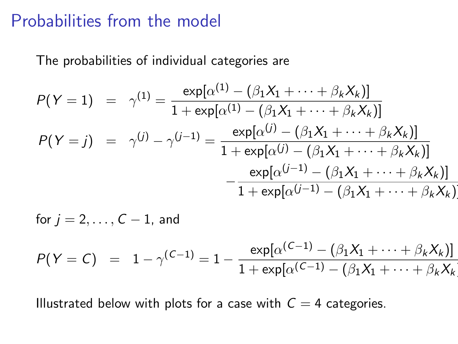#### Probabilities from the model

The probabilities of individual categories are

$$
P(Y = 1) = \gamma^{(1)} = \frac{\exp[\alpha^{(1)} - (\beta_1 X_1 + \dots + \beta_k X_k)]}{1 + \exp[\alpha^{(1)} - (\beta_1 X_1 + \dots + \beta_k X_k)]}
$$
  
\n
$$
P(Y = j) = \gamma^{(j)} - \gamma^{(j-1)} = \frac{\exp[\alpha^{(j)} - (\beta_1 X_1 + \dots + \beta_k X_k)]}{1 + \exp[\alpha^{(j)} - (\beta_1 X_1 + \dots + \beta_k X_k)]}
$$
  
\n
$$
- \frac{\exp[\alpha^{(j-1)} - (\beta_1 X_1 + \dots + \beta_k X_k)]}{1 + \exp[\alpha^{(j-1)} - (\beta_1 X_1 + \dots + \beta_k X_k)]}
$$

for 
$$
j = 2, ..., C - 1
$$
, and  
\n
$$
P(Y = C) = 1 - \gamma^{(C-1)} = 1 - \frac{\exp[\alpha^{(C-1)} - (\beta_1 X_1 + ... + \beta_k X_k)]}{1 + \exp[\alpha^{(C-1)} - (\beta_1 X_1 + ... + \beta_k X_k)]}
$$

Illustrated below with plots for a case with  $C = 4$  categories.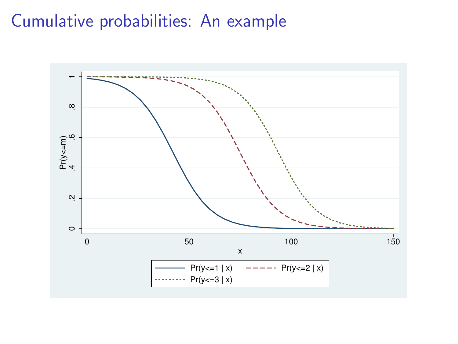#### Cumulative probabilities: An example

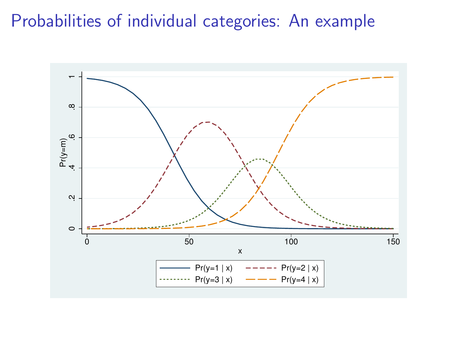### Probabilities of individual categories: An example

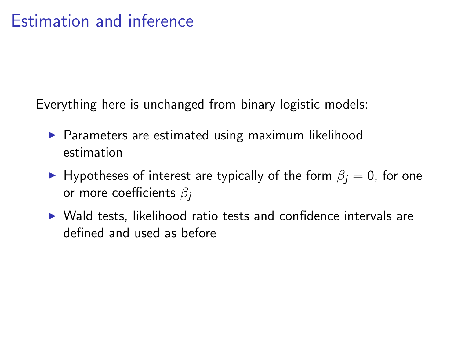Everything here is unchanged from binary logistic models:

- $\triangleright$  Parameters are estimated using maximum likelihood estimation
- ► Hypotheses of interest are typically of the form  $\beta_i = 0$ , for one or more coefficients  $\beta_i$
- $\triangleright$  Wald tests, likelihood ratio tests and confidence intervals are defined and used as before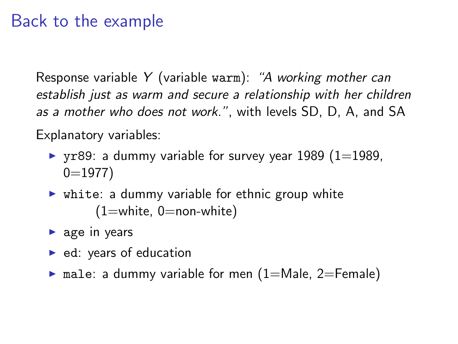#### Back to the example

Response variable Y (variable warm): "A working mother can establish just as warm and secure a relationship with her children as a mother who does not work.", with levels SD, D, A, and SA

Explanatory variables:

- requency variable for survey year 1989 (1=1989,  $0=1977$
- $\triangleright$  white: a dummy variable for ethnic group white  $(1=$ white,  $0=$ non-white)
- $\triangleright$  age in years
- $\blacktriangleright$  ed: years of education
- $\triangleright$  male: a dummy variable for men (1=Male, 2=Female)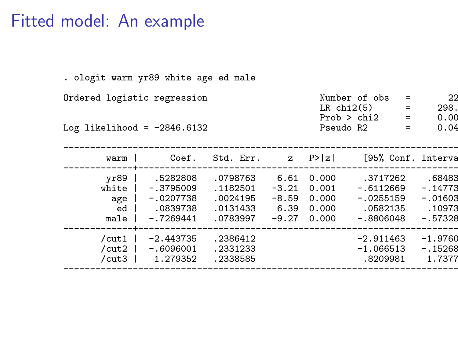#### Fitted model: An example

. ologit warm yr89 white age ed male

----------------------------------------------------------------------------

Ordered logistic regression

Log likelihood =  $-2846.6132$ 

| warm I | Coef.                |  | $Std. Err.$ z $P> z $ |     | [95% Conf. Interva |
|--------|----------------------|--|-----------------------|-----|--------------------|
|        | elihood = -2846.6132 |  | Pseudo R2             |     | 0.04               |
|        |                      |  | Prob > chi2           | $=$ | 0.00               |
|        |                      |  | $LR$ chi $2(5)$       | $=$ | 298.               |
|        | logistic regression  |  | Number of obs         |     | 22                 |

|                                        |                                                                   |                                                          | ----------------                              |                                           |                                                                   |                                                         |
|----------------------------------------|-------------------------------------------------------------------|----------------------------------------------------------|-----------------------------------------------|-------------------------------------------|-------------------------------------------------------------------|---------------------------------------------------------|
| vr89<br>white<br>age<br>ed<br>male     | .5282808<br>$-.3795009$<br>$-.0207738$<br>.0839738<br>$-.7269441$ | .0798763<br>.1182501<br>.0024195<br>.0131433<br>.0783997 | 6.61<br>$-3.21$<br>$-8.59$<br>6.39<br>$-9.27$ | 0.000<br>0.001<br>0.000<br>0.000<br>0.000 | .3717262<br>$-.6112669$<br>$-.0255159$<br>.0582135<br>$-.8806048$ | .68483<br>$-.14773$<br>$-.01603$<br>.10973<br>$-.57328$ |
| $/$ cut1<br>$/c$ ut $2$<br>$/$ cut $3$ | $-2.443735$<br>$-.6096001$<br>1.279352                            | .2386412<br>.2331233<br>.2338585                         |                                               |                                           | $-2.911463$<br>$-1.066513$<br>.8209981                            | $-1.9760$<br>$-.15268$<br>1.7377                        |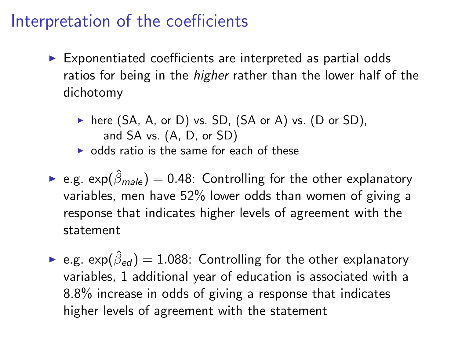#### Interpretation of the coefficients

- $\triangleright$  Exponentiated coefficients are interpreted as partial odds ratios for being in the *higher* rather than the lower half of the dichotomy
	- $\triangleright$  here (SA, A, or D) vs. SD, (SA or A) vs. (D or SD), and SA vs. (A, D, or SD)
	- $\triangleright$  odds ratio is the same for each of these
- **E.g.** exp( $\hat{\beta}_{male}$ ) = 0.48: Controlling for the other explanatory variables, men have 52% lower odds than women of giving a response that indicates higher levels of agreement with the statement
- $\blacktriangleright$  e.g.  $\exp(\hat{\beta}_{\mathit{ed}})=1.088$ : Controlling for the other explanatory variables, 1 additional year of education is associated with a 8.8% increase in odds of giving a response that indicates higher levels of agreement with the statement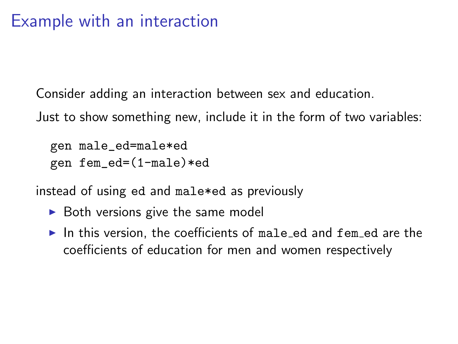Consider adding an interaction between sex and education.

Just to show something new, include it in the form of two variables:

```
gen male_ed=male*ed
gen fem_ed=(1-male)*ed
```
instead of using ed and male\*ed as previously

- $\triangleright$  Both versions give the same model
- In this version, the coefficients of male ed and fem ed are the coefficients of education for men and women respectively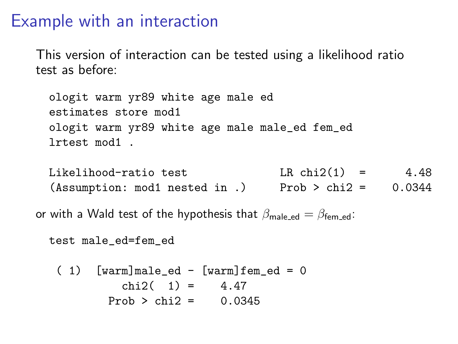#### Example with an interaction

This version of interaction can be tested using a likelihood ratio test as before:

ologit warm yr89 white age male ed estimates store mod1 ologit warm yr89 white age male male\_ed fem\_ed lrtest mod1 .

```
Likelihood-ratio test LR \text{ chi}(1) = 4.48(Assumption: mod1 nested in .) Prob > chi2 = 0.0344
```
or with a Wald test of the hypothesis that  $\beta_{\text{male end}} = \beta_{\text{fem end}}$ :

```
test male_ed=fem_ed
```

```
(1) [warm]male_ed - [warm]fem_ed = 0
        chi2(1) = 4.47Prob > chi2 = 0.0345
```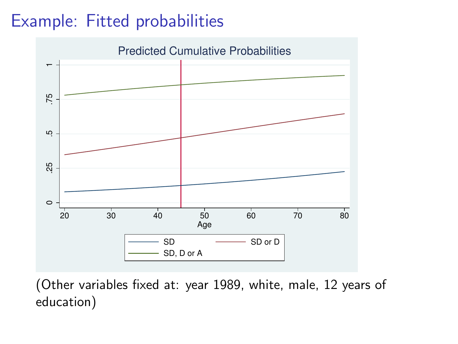## Example: Fitted probabilities



(Other variables fixed at: year 1989, white, male, 12 years of education)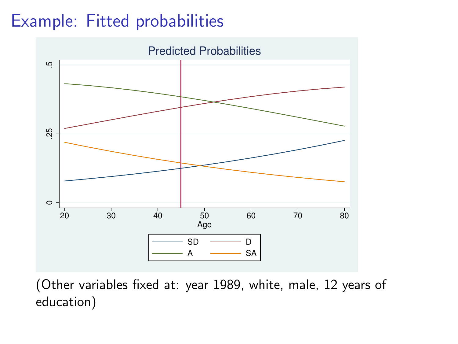## Example: Fitted probabilities



(Other variables fixed at: year 1989, white, male, 12 years of education)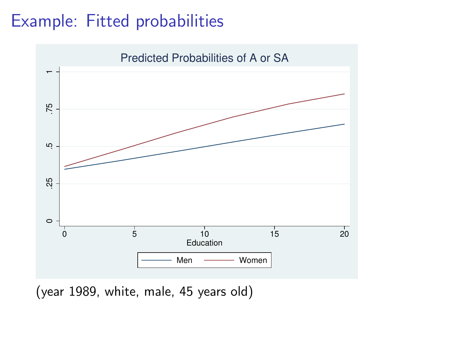### Example: Fitted probabilities



(year 1989, white, male, 45 years old)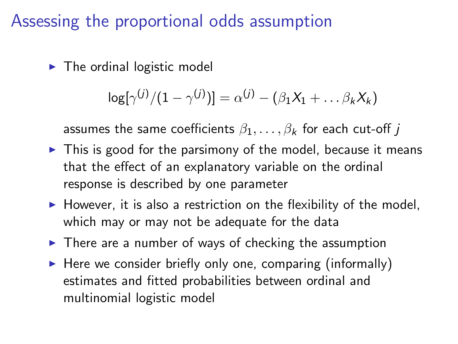### Assessing the proportional odds assumption

 $\blacktriangleright$  The ordinal logistic model

$$
\log[\gamma^{(j)}/(1-\gamma^{(j)})]=\alpha^{(j)}-(\beta_1X_1+\ldots\beta_kX_k)
$$

assumes the same coefficients  $\beta_1, \ldots, \beta_k$  for each cut-off j

- $\triangleright$  This is good for the parsimony of the model, because it means that the effect of an explanatory variable on the ordinal response is described by one parameter
- $\blacktriangleright$  However, it is also a restriction on the flexibility of the model, which may or may not be adequate for the data
- $\triangleright$  There are a number of ways of checking the assumption
- $\triangleright$  Here we consider briefly only one, comparing (informally) estimates and fitted probabilities between ordinal and multinomial logistic model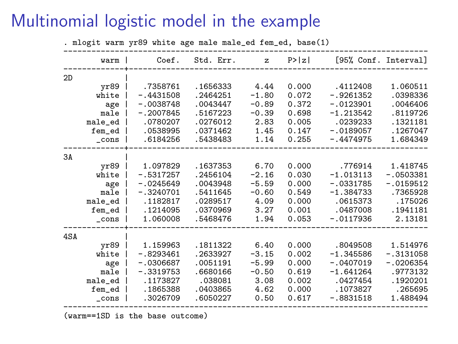#### Multinomial logistic model in the example

. mlogit warm yr89 white age male male\_ed fem\_ed, base(1) ----------------------------------------------------------------------------- warm | Coef. Std. Err. z P>|z| [95% Conf. Interval] -------------+----------------------------------------------------------------  $2D$  | yr89 | .7358761 .1656333 4.44 0.000 .4112408 1.060511<br>white | -.4431508 .2464251 -1.80 0.072 -.9261352 .0398336 ite | -.4431508 .2464251 -1.80 0.072 -.9261352 .0398336<br>age | -.0038748 .0043447 -0.89 0.372 -.0123901 .0046406 age | -.0038748 .0043447 -0.89 0.372 -.0123901 .0046406 8119726 .5167223 -0.39 0.698 -1.213542 .8119726 male ed |<br>1321181 .0780207 .0276012 2.83 0.005 .0239233 .1321181 nale\_ed | .0780207 .0276012 2.83 0.005 .0239233 .1321181<br>1267047 .0538995 .0371462 1.45 0.147 -.0189057 .1267047 fem\_ed | .0538995 .0371462 1.45 0.147 -.0189057 .1267047 \_cons | .6184256 .5438483 1.14 0.255 -.4474975 1.684349 -------------+---------------------------------------------------------------- 3A | yr89 | 1.097829 .1637353 6.70 0.000 .776914 1.418745<br>white | -.5317257 .2456104 -2.16 0.030 -1.013113 -.0503381 ite | -.5317257 .2456104 -2.16 0.030 -1.013113 -.0503381<br>age | -.0245649 .0043948 -5.59 0.000 -.0331785 -.0159512 age | -.0245649 .0043948 -5.59 0.000 -.0331785 -.0159512<br>male | -.3240701 .5411645 -0.60 0.549 -1.384733 .7365928 7365928. male | -.3240701 .5411645 -0.60 0.549 -1.384733<br>175026. 1182817 .0289517 4.09 0.000 .0615373 male\_ed | .1182817 .0289517 4.09 0.000 .0615373 .175026 fem\_ed | .1214095 .0370969 3.27 0.001 .0487008 .1941181 \_cons | 1.060008 .5468476 1.94 0.053 -.0117936 2.13181 -------------+----------------------------------------------------------------  $4SA$   $\frac{1}{Yr89}$ yr89 | 1.159963 .1811322 6.40 0.000 .8049508 1.514976 white | -.8293461 .2633927 -3.15 0.002 -1.345586 -.3131058 age | -.0306687 .0051191 -5.99 0.000 -.0407019 -.0206354 male | -.3319753 .6680166 -0.50 0.619 -1.641264 .9773132 male\_ed | .1173827 .038081 3.08 0.002 .0427454 .1920201 fem\_ed | .1865388 .0403865 4.62 0.000 .1073827 .265695 \_cons | .3026709 .6050227 0.50 0.617 -.8831518 1.488494 ------------------------------------------------------------------------------

(warm==1SD is the base outcome)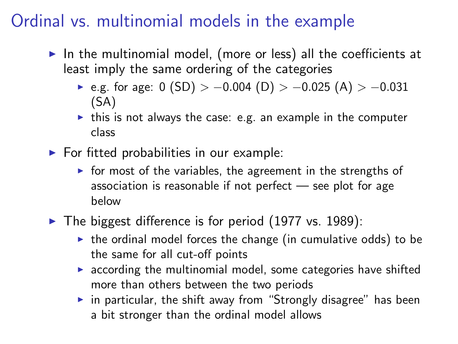### Ordinal vs. multinomial models in the example

- $\triangleright$  In the multinomial model, (more or less) all the coefficients at least imply the same ordering of the categories
	- $\triangleright$  e.g. for age: 0 (SD) > -0.004 (D) > -0.025 (A) > -0.031 (SA)
	- $\triangleright$  this is not always the case: e.g. an example in the computer class
- $\blacktriangleright$  For fitted probabilities in our example:
	- $\triangleright$  for most of the variables, the agreement in the strengths of association is reasonable if not perfect — see plot for age below
- $\blacktriangleright$  The biggest difference is for period (1977 vs. 1989):
	- $\triangleright$  the ordinal model forces the change (in cumulative odds) to be the same for all cut-off points
	- $\triangleright$  according the multinomial model, some categories have shifted more than others between the two periods
	- $\triangleright$  in particular, the shift away from "Strongly disagree" has been a bit stronger than the ordinal model allows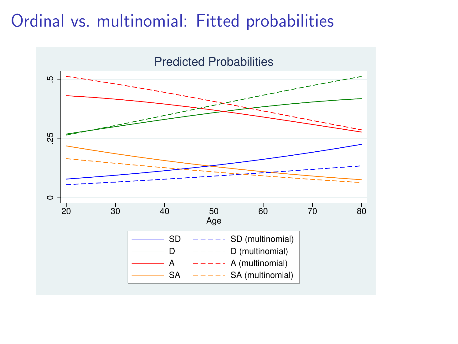#### Ordinal vs. multinomial: Fitted probabilities

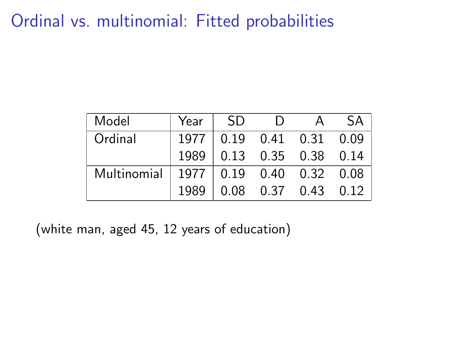#### Ordinal vs. multinomial: Fitted probabilities

| Model       | Year | -SD | $\Box$                        | <b>SA</b> |
|-------------|------|-----|-------------------------------|-----------|
| Ordinal     | 1977 |     | 0.19  0.41  0.31  0.09        |           |
|             | 1989 |     | 0.13  0.35  0.38  0.14        |           |
| Multinomial |      |     | 1977   0.19  0.40  0.32  0.08 |           |
|             | 1989 |     | $0.08$ 0.37 0.43 0.12         |           |

(white man, aged 45, 12 years of education)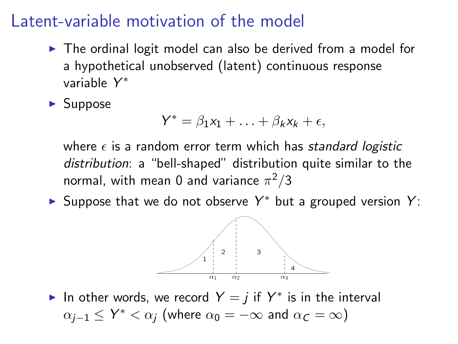#### Latent-variable motivation of the model

- $\triangleright$  The ordinal logit model can also be derived from a model for a hypothetical unobserved (latent) continuous response variable Y ∗
- $\blacktriangleright$  Suppose

$$
Y^* = \beta_1 x_1 + \ldots + \beta_k x_k + \epsilon,
$$

where  $\epsilon$  is a random error term which has standard logistic distribution: a "bell-shaped" distribution quite similar to the normal, with mean 0 and variance  $\pi^2/3$ 

► Suppose that we do not observe  $Y^*$  but a grouped version  $Y$ :



In other words, we record  $Y = j$  if  $Y^*$  is in the interval  $\alpha_{j-1} \le Y^* < \alpha_j$  (where  $\alpha_0 = -\infty$  and  $\alpha_{\mathcal{C}} = \infty$ )